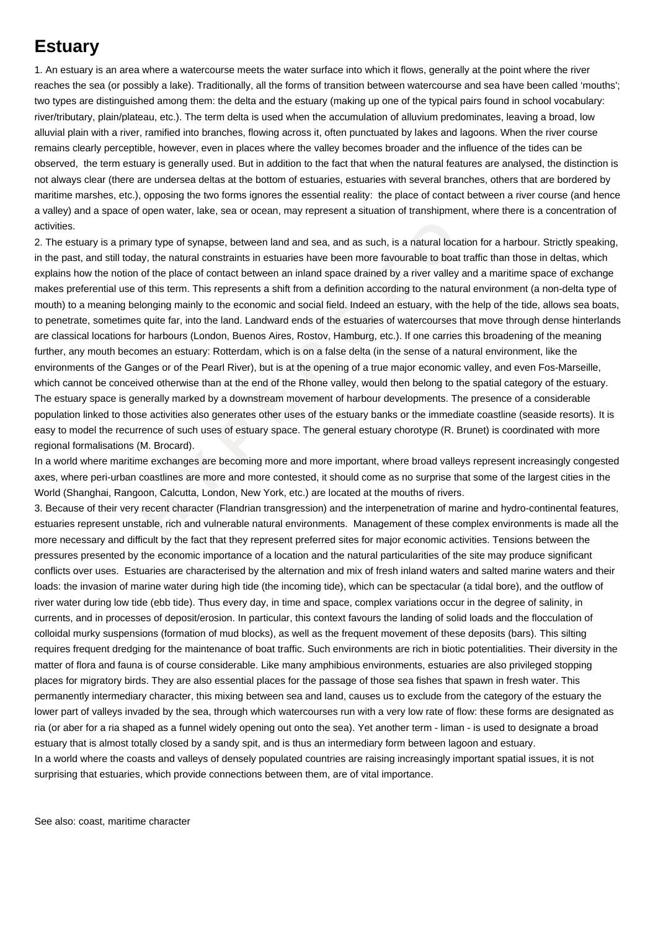## **Estuary**

1. An estuary is an area where a watercourse meets the water surface into which it flows, generally at the point where the river reaches the sea (or possibly a lake). Traditionally, all the forms of transition between watercourse and sea have been called 'mouths'; two types are distinguished among them: the delta and the estuary (making up one of the typical pairs found in school vocabulary: river/tributary, plain/plateau, etc.). The term delta is used when the accumulation of alluvium predominates, leaving a broad, low alluvial plain with a river, ramified into branches, flowing across it, often punctuated by lakes and lagoons. When the river course remains clearly perceptible, however, even in places where the valley becomes broader and the influence of the tides can be observed, the term estuary is generally used. But in addition to the fact that when the natural features are analysed, the distinction is not always clear (there are undersea deltas at the bottom of estuaries, estuaries with several branches, others that are bordered by maritime marshes, etc.), opposing the two forms ignores the essential reality: the place of contact between a river course (and hence a valley) and a space of open water, lake, sea or ocean, may represent a situation of transhipment, where there is a concentration of activities.

a primary type of synapse, between land and sea, and as such, is a natural location<br>till today, the natural constraints in estuaries have been more favourable to boat tra<br>notion of the place of contact between an inland sp 2. The estuary is a primary type of synapse, between land and sea, and as such, is a natural location for a harbour. Strictly speaking, in the past, and still today, the natural constraints in estuaries have been more favourable to boat traffic than those in deltas, which explains how the notion of the place of contact between an inland space drained by a river valley and a maritime space of exchange makes preferential use of this term. This represents a shift from a definition according to the natural environment (a non-delta type of mouth) to a meaning belonging mainly to the economic and social field. Indeed an estuary, with the help of the tide, allows sea boats, to penetrate, sometimes quite far, into the land. Landward ends of the estuaries of watercourses that move through dense hinterlands are classical locations for harbours (London, Buenos Aires, Rostov, Hamburg, etc.). If one carries this broadening of the meaning further, any mouth becomes an estuary: Rotterdam, which is on a false delta (in the sense of a natural environment, like the environments of the Ganges or of the Pearl River), but is at the opening of a true major economic valley, and even Fos-Marseille, which cannot be conceived otherwise than at the end of the Rhone valley, would then belong to the spatial category of the estuary. The estuary space is generally marked by a downstream movement of harbour developments. The presence of a considerable population linked to those activities also generates other uses of the estuary banks or the immediate coastline (seaside resorts). It is easy to model the recurrence of such uses of estuary space. The general estuary chorotype (R. Brunet) is coordinated with more regional formalisations (M. Brocard).

In a world where maritime exchanges are becoming more and more important, where broad valleys represent increasingly congested axes, where peri-urban coastlines are more and more contested, it should come as no surprise that some of the largest cities in the World (Shanghai, Rangoon, Calcutta, London, New York, etc.) are located at the mouths of rivers.

3. Because of their very recent character (Flandrian transgression) and the interpenetration of marine and hydro-continental features, estuaries represent unstable, rich and vulnerable natural environments. Management of these complex environments is made all the more necessary and difficult by the fact that they represent preferred sites for major economic activities. Tensions between the pressures presented by the economic importance of a location and the natural particularities of the site may produce significant conflicts over uses. Estuaries are characterised by the alternation and mix of fresh inland waters and salted marine waters and their loads: the invasion of marine water during high tide (the incoming tide), which can be spectacular (a tidal bore), and the outflow of river water during low tide (ebb tide). Thus every day, in time and space, complex variations occur in the degree of salinity, in currents, and in processes of deposit/erosion. In particular, this context favours the landing of solid loads and the flocculation of colloidal murky suspensions (formation of mud blocks), as well as the frequent movement of these deposits (bars). This silting requires frequent dredging for the maintenance of boat traffic. Such environments are rich in biotic potentialities. Their diversity in the matter of flora and fauna is of course considerable. Like many amphibious environments, estuaries are also privileged stopping places for migratory birds. They are also essential places for the passage of those sea fishes that spawn in fresh water. This permanently intermediary character, this mixing between sea and land, causes us to exclude from the category of the estuary the lower part of valleys invaded by the sea, through which watercourses run with a very low rate of flow: these forms are designated as ria (or aber for a ria shaped as a funnel widely opening out onto the sea). Yet another term - liman - is used to designate a broad estuary that is almost totally closed by a sandy spit, and is thus an intermediary form between lagoon and estuary. In a world where the coasts and valleys of densely populated countries are raising increasingly important spatial issues, it is not surprising that estuaries, which provide connections between them, are of vital importance.

See also: coast, maritime character